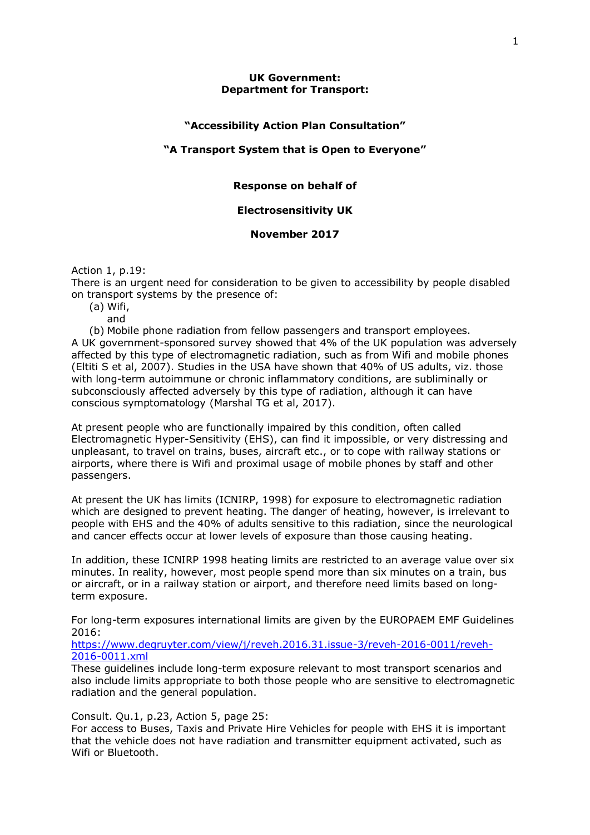## **UK Government: Department for Transport:**

# **"Accessibility Action Plan Consultation"**

## **"A Transport System that is Open to Everyone"**

### **Response on behalf of**

# **Electrosensitivity UK**

# **November 2017**

Action 1, p.19:

There is an urgent need for consideration to be given to accessibility by people disabled on transport systems by the presence of:

(a) Wifi,

and

(b) Mobile phone radiation from fellow passengers and transport employees. A UK government-sponsored survey showed that 4% of the UK population was adversely affected by this type of electromagnetic radiation, such as from Wifi and mobile phones (Eltiti S et al, 2007). Studies in the USA have shown that 40% of US adults, viz. those with long-term autoimmune or chronic inflammatory conditions, are subliminally or subconsciously affected adversely by this type of radiation, although it can have conscious symptomatology (Marshal TG et al, 2017).

At present people who are functionally impaired by this condition, often called Electromagnetic Hyper-Sensitivity (EHS), can find it impossible, or very distressing and unpleasant, to travel on trains, buses, aircraft etc., or to cope with railway stations or airports, where there is Wifi and proximal usage of mobile phones by staff and other passengers.

At present the UK has limits (ICNIRP, 1998) for exposure to electromagnetic radiation which are designed to prevent heating. The danger of heating, however, is irrelevant to people with EHS and the 40% of adults sensitive to this radiation, since the neurological and cancer effects occur at lower levels of exposure than those causing heating.

In addition, these ICNIRP 1998 heating limits are restricted to an average value over six minutes. In reality, however, most people spend more than six minutes on a train, bus or aircraft, or in a railway station or airport, and therefore need limits based on longterm exposure.

For long-term exposures international limits are given by the EUROPAEM EMF Guidelines 2016:

[https://www.degruyter.com/view/j/reveh.2016.31.issue-3/reveh-2016-0011/reveh-](https://www.degruyter.com/view/j/reveh.2016.31.issue-3/reveh-2016-0011/reveh-2016-0011.xml)[2016-0011.xml](https://www.degruyter.com/view/j/reveh.2016.31.issue-3/reveh-2016-0011/reveh-2016-0011.xml)

These guidelines include long-term exposure relevant to most transport scenarios and also include limits appropriate to both those people who are sensitive to electromagnetic radiation and the general population.

Consult. Qu.1, p.23, Action 5, page 25:

For access to Buses, Taxis and Private Hire Vehicles for people with EHS it is important that the vehicle does not have radiation and transmitter equipment activated, such as Wifi or Bluetooth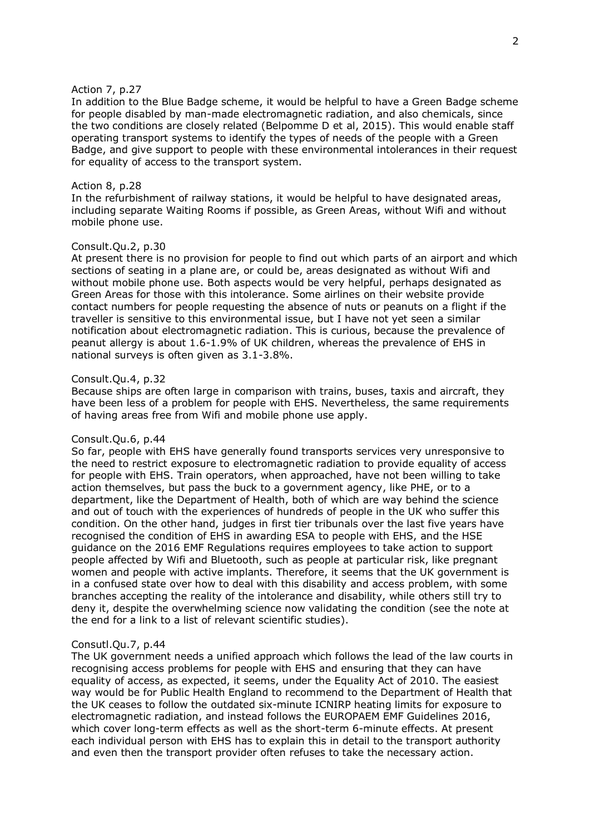#### Action 7, p.27

In addition to the Blue Badge scheme, it would be helpful to have a Green Badge scheme for people disabled by man-made electromagnetic radiation, and also chemicals, since the two conditions are closely related (Belpomme D et al, 2015). This would enable staff operating transport systems to identify the types of needs of the people with a Green Badge, and give support to people with these environmental intolerances in their request for equality of access to the transport system.

### Action 8, p.28

In the refurbishment of railway stations, it would be helpful to have designated areas, including separate Waiting Rooms if possible, as Green Areas, without Wifi and without mobile phone use.

#### Consult.Qu.2, p.30

At present there is no provision for people to find out which parts of an airport and which sections of seating in a plane are, or could be, areas designated as without Wifi and without mobile phone use. Both aspects would be very helpful, perhaps designated as Green Areas for those with this intolerance. Some airlines on their website provide contact numbers for people requesting the absence of nuts or peanuts on a flight if the traveller is sensitive to this environmental issue, but I have not yet seen a similar notification about electromagnetic radiation. This is curious, because the prevalence of peanut allergy is about 1.6-1.9% of UK children, whereas the prevalence of EHS in national surveys is often given as 3.1-3.8%.

#### Consult.Qu.4, p.32

Because ships are often large in comparison with trains, buses, taxis and aircraft, they have been less of a problem for people with EHS. Nevertheless, the same requirements of having areas free from Wifi and mobile phone use apply.

## Consult.Qu.6, p.44

So far, people with EHS have generally found transports services very unresponsive to the need to restrict exposure to electromagnetic radiation to provide equality of access for people with EHS. Train operators, when approached, have not been willing to take action themselves, but pass the buck to a government agency, like PHE, or to a department, like the Department of Health, both of which are way behind the science and out of touch with the experiences of hundreds of people in the UK who suffer this condition. On the other hand, judges in first tier tribunals over the last five years have recognised the condition of EHS in awarding ESA to people with EHS, and the HSE guidance on the 2016 EMF Regulations requires employees to take action to support people affected by Wifi and Bluetooth, such as people at particular risk, like pregnant women and people with active implants. Therefore, it seems that the UK government is in a confused state over how to deal with this disability and access problem, with some branches accepting the reality of the intolerance and disability, while others still try to deny it, despite the overwhelming science now validating the condition (see the note at the end for a link to a list of relevant scientific studies).

### Consutl.Qu.7, p.44

The UK government needs a unified approach which follows the lead of the law courts in recognising access problems for people with EHS and ensuring that they can have equality of access, as expected, it seems, under the Equality Act of 2010. The easiest way would be for Public Health England to recommend to the Department of Health that the UK ceases to follow the outdated six-minute ICNIRP heating limits for exposure to electromagnetic radiation, and instead follows the EUROPAEM EMF Guidelines 2016, which cover long-term effects as well as the short-term 6-minute effects. At present each individual person with EHS has to explain this in detail to the transport authority and even then the transport provider often refuses to take the necessary action.